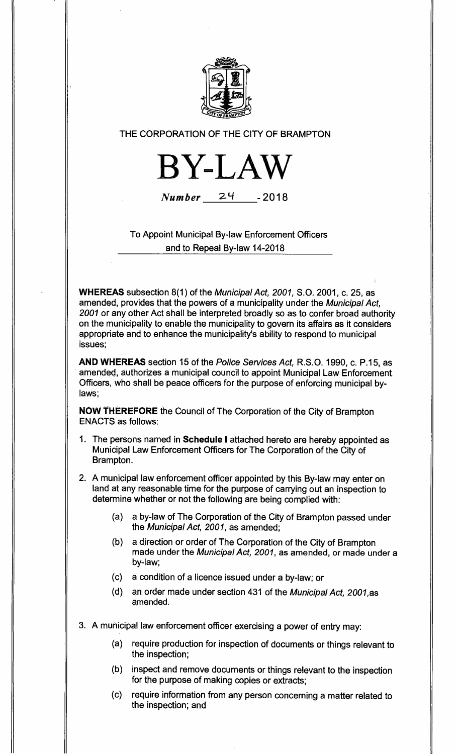

# **THE CORPORATION OF THE CITY OF BRAMPTON**



Number **2`1 - 2018** 

**To Appoint Municipal By-law Enforcement Officers and to Repeal By-law 14-2018** 

**WHEREAS subsection 8(1) of the** Municipal Act, 2001, **S.O. 2001, c. 25, as amended, provides that the powers of a municipality under the** Municipal Act, 2001 **or any other Act shall be interpreted broadly so as to confer broad authority on the municipality to enable the municipality to govern its affairs as it considers appropriate and to enhance the municipality's ability to respond to municipal issues;** 

**AND WHEREAS section 15 of the** Police Services Act, **R.S.O. 1990, c. P.15, as amended, authorizes a municipal council to appoint Municipal Law Enforcement**. **Officers, who shall be peace officers for the purpose of enforcing municipal bylaws;** 

**NOW THEREFORE the Council of The Corporation of the City of Brampton ENACTS as follows:** 

**1. The persons named in Schedule I attached hereto are hereby appointed as Municipal Law Enforcement Officers for The Corporation of the City of Brampton.** 

**2. A municipal law enforcement officer appointed by this By-law may enter on land at any reasonable time for the purpose of carrying out an inspection to determine whether or not the following are being complied with:** 

- **(a) a by-law of The Corporation of the City of Brampton passed under the** Municipal Act, 2001, **as amended;**
- **(b) a direction or order of The Corporation of the City of Brampton made under the Municipal Act, 2001, as amended, or made under a by-law;**
- **(c) a condition of a licence issued under a by-law; or**
- **(d) an order made under section 431 of the** Municipal Act, 2001,as **amended.**
- **3. A municipal law enforcement officer exercising a power of entry may:** 
	- **(a) require production for inspection of documents or things relevant to the inspection;**
	- **(b) inspect and remove documents or things relevant to the inspection for the purpose of making copies or extracts;**
	- **(c) require information from any person concerning a matter related to the inspection; and**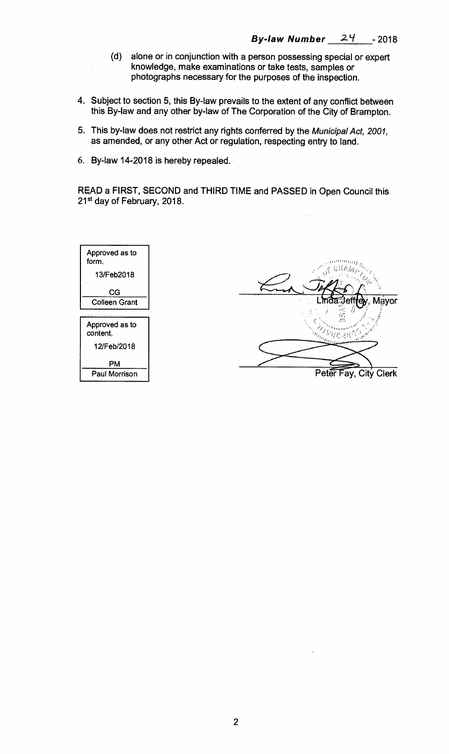$\frac{1}{2}$ 

- **(d) alone or in conjunction with a person possessing special or expert knowledge, make examinations or take tests, samples or photographs necessary for the purposes of the inspection.**
- **4. Subject to section 5, this By-law prevails to the extent of any conflict between this By-law and any other by-law of The Corporation of the City of Brampton.**
- **5. This by-law does not restrict any rights conferred by the** Municipal Act, 2001, **as amended, or any other Act or regulation, respecting entry to land.**
- **6. By-law 14-2018 is hereby repealed.**

**READ a FIRST, SECOND and THIRD TIME and PASSED in Open Council this 21st day of February, 2018.** 

 $\hat{\mathcal{A}}$ 

| Approved as to<br>form.    |                       |
|----------------------------|-----------------------|
| 13/Feb2018                 |                       |
| CG                         |                       |
| <b>Colleen Grant</b>       | Linda Jeffre<br>Mayor |
|                            | 62                    |
| Approved as to<br>content. |                       |
| 12/Feb/2018                |                       |
| PM                         |                       |
| Paul Morrison              | Peter Fay, City Clerk |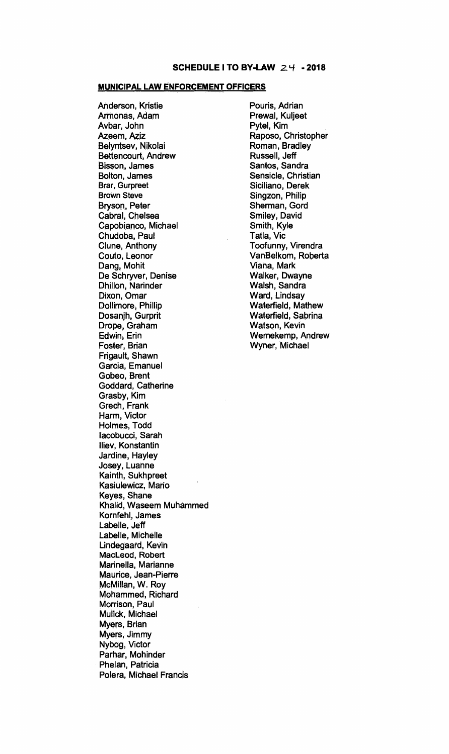#### **MUNICIPAL LAW ENFORCEMENT OFFICERS**

**Anderson, Kristie Armonas, Adam Avbar, John Azeem, Aziz Belyntsev, Nikolai Bettencourt, Andrew Bisson, James Bolton, James Brar, Gurpreet Brown Steve Bryson, Peter Cabral, Chelsea Capobianco, Michael Chudoba, Paul Clune, Anthony Couto, Leonor Dang, Mohit De Schryver, Denise Dhillon, Narinder Dixon, Omar Dollimore, Phillip Dosanjh, Gurprit Drope, Graham Edwin, Erin Foster, Brian Frigault, Shawn Garcia, Emanuel Gobeo, Brent Goddard, Catherine Grasby, Kim Grech, Frank Harm, Victor Holmes, Todd lacobucci, Sarah Iliev, Konstantin Jardine, Hayley Josey, Luanne Kainth, Sukhpreet Kasiulewicz, Mario Keyes, Shane Khalid, Waseem Muhammed Komfehl, James Labelle, Jeff Labelle, Michelle Lindegaard, Kevin MacLeod, Robert Marinella, Marianne Maurice, Jean-Pierre McMillan, W. Roy Mohammed, Richard Morrison, Paul Mulick, Michael Myers, Brian Myers, Jimmy Nybog, Victor Parhar, Mohinder Phelan, Patricia Polera, Michael Francis** 

**Pouris, Adrian Prewal, Kuljeet Pytel, Kim Raposo, Christopher Roman, Bradley Russell, Jeff Santos, Sandra Sensicle, Christian Siciliano, Derek Singzon, Philip Sherman, Gord Smiley, David Smith, Kyle Tatla, Vic Toofunny, Virendra VanBelkom, Roberta Viana, Mark Walker, Dwayne Walsh, Sandra Ward, Lindsay Waterfield, Mathew Waterfield, Sabrina Watson, Kevin Wemekemp, Andrew Wyner, Michael**